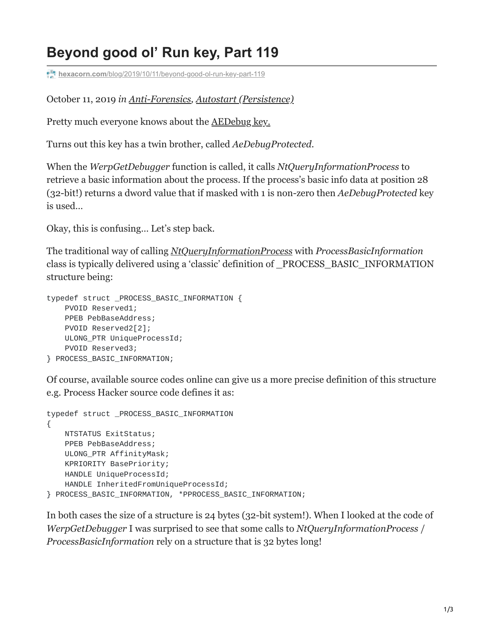## **Beyond good ol' Run key, Part 119**

**hexacorn.com**[/blog/2019/10/11/beyond-good-ol-run-key-part-119](https://www.hexacorn.com/blog/2019/10/11/beyond-good-ol-run-key-part-119/)

October 11, 2019 *in [Anti-Forensics,](https://www.hexacorn.com/blog/category/anti-forensics/) [Autostart \(Persistence\)](https://www.hexacorn.com/blog/category/autostart-persistence/)*

Pretty much everyone knows about the [AEDebug key.](https://docs.microsoft.com/en-us/windows/win32/debug/configuring-automatic-debugging)

Turns out this key has a twin brother, called *AeDebugProtected*.

When the *WerpGetDebugger* function is called, it calls *NtQueryInformationProcess* to retrieve a basic information about the process. If the process's basic info data at position 28 (32-bit!) returns a dword value that if masked with 1 is non-zero then *AeDebugProtected* key is used…

Okay, this is confusing… Let's step back.

The traditional way of calling *[NtQueryInformationProcess](https://docs.microsoft.com/en-us/windows/win32/api/winternl/nf-winternl-ntqueryinformationprocess)* with *ProcessBasicInformation* class is typically delivered using a 'classic' definition of \_PROCESS\_BASIC\_INFORMATION structure being:

```
typedef struct _PROCESS_BASIC_INFORMATION {
    PVOID Reserved1;
    PPEB PebBaseAddress;
   PVOID Reserved2[2];
    ULONG_PTR UniqueProcessId;
    PVOID Reserved3;
} PROCESS_BASIC_INFORMATION;
```
Of course, available source codes online can give us a more precise definition of this structure e.g. Process Hacker source code defines it as:

```
typedef struct _PROCESS_BASIC_INFORMATION
{
   NTSTATUS ExitStatus;
    PPEB PebBaseAddress;
   ULONG_PTR AffinityMask;
    KPRIORITY BasePriority;
    HANDLE UniqueProcessId;
    HANDLE InheritedFromUniqueProcessId;
} PROCESS_BASIC_INFORMATION, *PPROCESS_BASIC_INFORMATION;
```
In both cases the size of a structure is 24 bytes (32-bit system!). When I looked at the code of *WerpGetDebugger* I was surprised to see that some calls to *NtQueryInformationProcess* / *ProcessBasicInformation* rely on a structure that is 32 bytes long!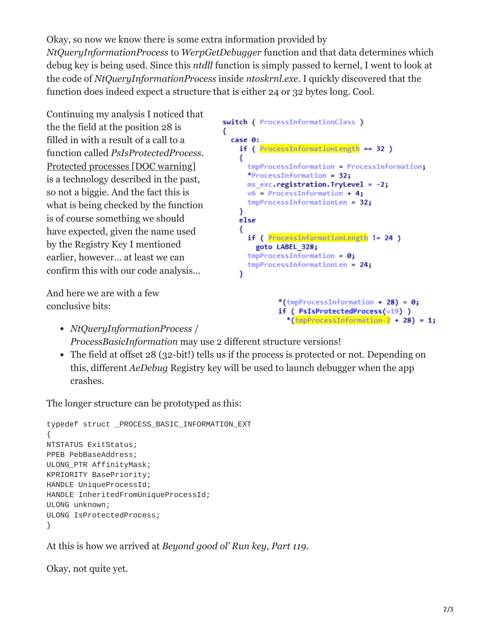Okay, so now we know there is some extra information provided by *NtQueryInformationProcess* to *WerpGetDebugger* function and that data determines which debug key is being used. Since this *ntdll* function is simply passed to kernel, I went to look at the code of *NtQueryInformationProcess* inside *ntoskrnl.exe*. I quickly discovered that the function does indeed expect a structure that is either 24 or 32 bytes long. Cool.

Continuing my analysis I noticed that the the field at the position 28 is filled in with a result of a call to a function called *PsIsProtectedProcess*. [Protected processes \[DOC warning\]](http://download.microsoft.com/download/a/f/7/af7777e5-7dcd-4800-8a0a-b18336565f5b/process_vista.doc) is a technology described in the past, so not a biggie. And the fact this is what is being checked by the function is of course something we should have expected, given the name used by the Registry Key I mentioned earlier, however… at least we can confirm this with our code analysis…

And here we are with a few conclusive bits:

```
switch ( ProcessInformationClass )
ſ
 case 0:
   if ( ProcessInformationLength == 32 )€
     tmpProcessInformation = ProcessInformation;
     *ProcessInformation = 32:ms exc.registration.TryLevel = -2;
     v6 = ProcessInformation + 4;
     tmpProcessInformationLen = 32;}
   else
   €
     if ( ProcessInformationLength != 24 )
        goto LABEL 328;
     tmpProcessInformation = 0;tmpProcessInformationLen = 24;Y
             *(tmpProcessInformation + 28) = 0;
```
if ( PsIsProtectedProcess(v19) )

- \* $(\text{tmpProcessInformation-2 + 28) = 1};$ *NtQueryInformationProcess* / *ProcessBasicInformation* may use 2 different structure versions!
- The field at offset 28 (32-bit!) tells us if the process is protected or not. Depending on this, different *AeDebug* Registry key will be used to launch debugger when the app crashes.

The longer structure can be prototyped as this:

```
typedef struct _PROCESS_BASIC_INFORMATION_EXT
{
NTSTATUS ExitStatus;
PPEB PebBaseAddress;
ULONG_PTR AffinityMask;
KPRIORITY BasePriority;
HANDLE UniqueProcessId;
HANDLE InheritedFromUniqueProcessId;
ULONG unknown;
ULONG IsProtectedProcess;
}
```
At this is how we arrived at *Beyond good ol' Run key, Part 119*.

Okay, not quite yet.